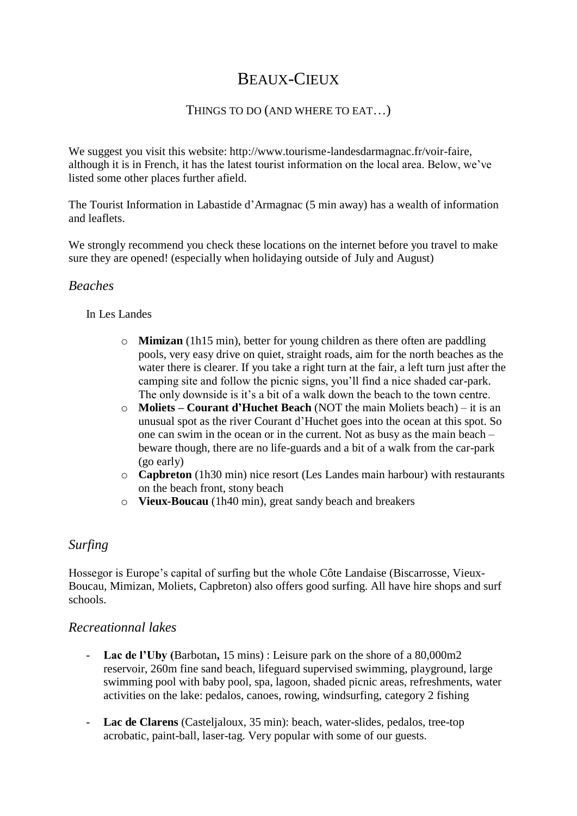# BEAUX-CIEUX

### THINGS TO DO (AND WHERE TO EAT…)

We suggest you visit this website: http://www.tourisme-landesdarmagnac.fr/voir-faire, although it is in French, it has the latest tourist information on the local area. Below, we've listed some other places further afield.

The Tourist Information in Labastide d'Armagnac (5 min away) has a wealth of information and leaflets.

We strongly recommend you check these locations on the internet before you travel to make sure they are opened! (especially when holidaying outside of July and August)

### *Beaches*

In Les Landes

- o **Mimizan** (1h15 min), better for young children as there often are paddling pools, very easy drive on quiet, straight roads, aim for the north beaches as the water there is clearer. If you take a right turn at the fair, a left turn just after the camping site and follow the picnic signs, you'll find a nice shaded car-park. The only downside is it's a bit of a walk down the beach to the town centre.
- o **Moliets – Courant d'Huchet Beach** (NOT the main Moliets beach) it is an unusual spot as the river Courant d'Huchet goes into the ocean at this spot. So one can swim in the ocean or in the current. Not as busy as the main beach – beware though, there are no life-guards and a bit of a walk from the car-park (go early)
- o **Capbreton** (1h30 min) nice resort (Les Landes main harbour) with restaurants on the beach front, stony beach
- o **Vieux-Boucau** (1h40 min), great sandy beach and breakers

### *Surfing*

Hossegor is Europe's capital of surfing but the whole Côte Landaise (Biscarrosse, Vieux-Boucau, Mimizan, Moliets, Capbreton) also offers good surfing. All have hire shops and surf schools.

### *Recreationnal lakes*

- **Lac de l'Uby (**Barbotan**,** 15 mins) : Leisure park on the shore of a 80,000m2 reservoir, 260m fine sand beach, lifeguard supervised swimming, playground, large swimming pool with baby pool, spa, lagoon, shaded picnic areas, refreshments, water activities on the lake: pedalos, canoes, rowing, windsurfing, category 2 fishing
- **Lac de Clarens** (Casteljaloux, 35 min): beach, water-slides, pedalos, tree-top acrobatic, paint-ball, laser-tag. Very popular with some of our guests.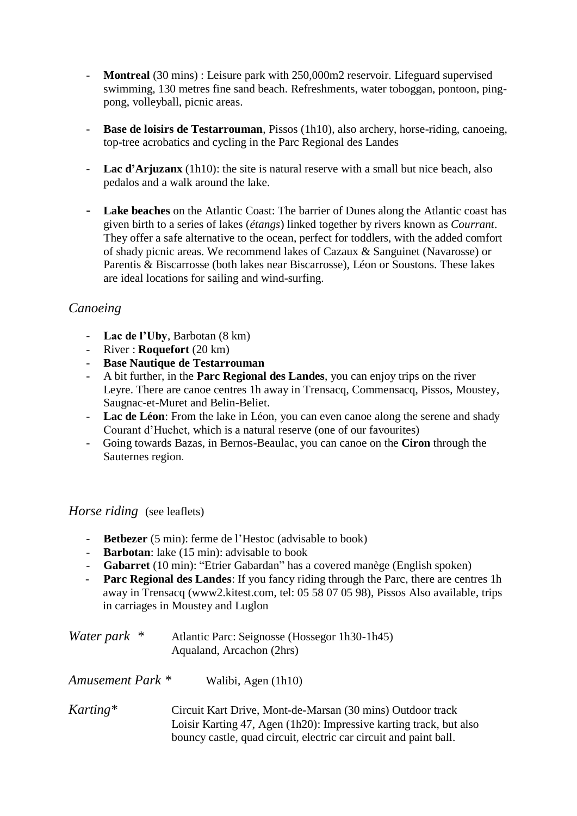- **Montreal** (30 mins) : Leisure park with 250,000m2 reservoir. Lifeguard supervised swimming, 130 metres fine sand beach. Refreshments, water toboggan, pontoon, pingpong, volleyball, picnic areas.
- Base de loisirs de Testarrouman, Pissos (1h10), also archery, horse-riding, canoeing, top-tree acrobatics and cycling in the Parc Regional des Landes
- **Lac d'Arjuzanx** (1h10): the site is natural reserve with a small but nice beach, also pedalos and a walk around the lake.
- **Lake beaches** on the Atlantic Coast: The barrier of Dunes along the Atlantic coast has given birth to a series of lakes (*étangs*) linked together by rivers known as *Courrant*. They offer a safe alternative to the ocean, perfect for toddlers, with the added comfort of shady picnic areas. We recommend lakes of Cazaux & Sanguinet (Navarosse) or Parentis & Biscarrosse (both lakes near Biscarrosse), Léon or Soustons. These lakes are ideal locations for sailing and wind-surfing.

### *Canoeing*

- **Lac de l'Uby**, Barbotan (8 km)
- River : **Roquefort** (20 km)
- **Base Nautique de Testarrouman**
- A bit further, in the **Parc Regional des Landes**, you can enjoy trips on the river Leyre. There are canoe centres 1h away in Trensacq, Commensacq, Pissos, Moustey, Saugnac-et-Muret and Belin-Beliet.
- **Lac de Léon**: From the lake in Léon, you can even canoe along the serene and shady Courant d'Huchet, which is a natural reserve (one of our favourites)
- Going towards Bazas, in Bernos-Beaulac, you can canoe on the **Ciron** through the Sauternes region.

#### *Horse riding* (see leaflets)

- **Betbezer** (5 min): ferme de l'Hestoc (advisable to book)
- **Barbotan**: lake (15 min): advisable to book
- **Gabarret** (10 min): "Etrier Gabardan" has a covered manège (English spoken)
- **Parc Regional des Landes**: If you fancy riding through the Parc, there are centres 1h away in Trensacq (www2.kitest.com, tel: 05 58 07 05 98), Pissos Also available, trips in carriages in Moustey and Luglon

| Water park * | Atlantic Parc: Seignosse (Hossegor 1h30-1h45) |
|--------------|-----------------------------------------------|
|              | Aqualand, Arcachon (2hrs)                     |

*Amusement Park \** Walibi, Agen (1h10)

*Karting\** Circuit Kart Drive, Mont-de-Marsan (30 mins) Outdoor track Loisir Karting 47, Agen (1h20): Impressive karting track, but also bouncy castle, quad circuit, electric car circuit and paint ball.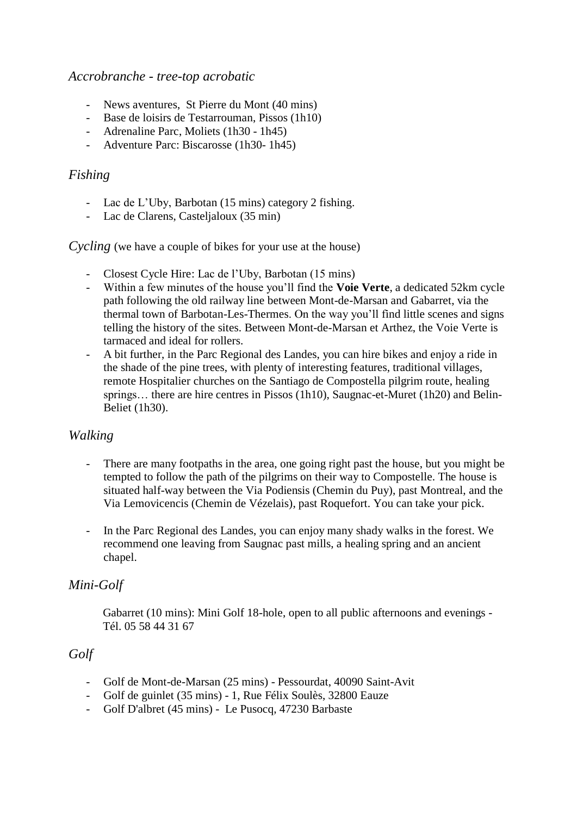#### *Accrobranche - tree-top acrobatic*

- News aventures, St Pierre du Mont (40 mins)
- Base de loisirs de Testarrouman, Pissos (1h10)
- Adrenaline Parc, Moliets (1h30 1h45)
- Adventure Parc: Biscarosse (1h30- 1h45)

### *Fishing*

- Lac de L'Uby, Barbotan (15 mins) category 2 fishing.
- Lac de Clarens, Casteljaloux (35 min)

*Cycling* (we have a couple of bikes for your use at the house)

- Closest Cycle Hire: Lac de l'Uby, Barbotan (15 mins)
- Within a few minutes of the house you'll find the **Voie Verte**, a dedicated 52km cycle path following the old railway line between Mont-de-Marsan and Gabarret, via the thermal town of Barbotan-Les-Thermes. On the way you'll find little scenes and signs telling the history of the sites. Between Mont-de-Marsan et Arthez, the Voie Verte is tarmaced and ideal for rollers.
- A bit further, in the Parc Regional des Landes, you can hire bikes and enjoy a ride in the shade of the pine trees, with plenty of interesting features, traditional villages, remote Hospitalier churches on the Santiago de Compostella pilgrim route, healing springs... there are hire centres in Pissos (1h10), Saugnac-et-Muret (1h20) and Belin-Beliet (1h30).

### *Walking*

- There are many footpaths in the area, one going right past the house, but you might be tempted to follow the path of the pilgrims on their way to Compostelle. The house is situated half-way between the Via Podiensis (Chemin du Puy), past Montreal, and the Via Lemovicencis (Chemin de Vézelais), past Roquefort. You can take your pick.
- In the Parc Regional des Landes, you can enjoy many shady walks in the forest. We recommend one leaving from Saugnac past mills, a healing spring and an ancient chapel.

# *Mini-Golf*

Gabarret (10 mins): Mini Golf 18-hole, open to all public afternoons and evenings - Tél. 05 58 44 31 67

### *Golf*

- Golf de Mont-de-Marsan (25 mins) Pessourdat, 40090 Saint-Avit
- Golf de guinlet (35 mins) 1, Rue Félix Soulès, 32800 Eauze
- Golf D'albret (45 mins) Le Pusocq, 47230 Barbaste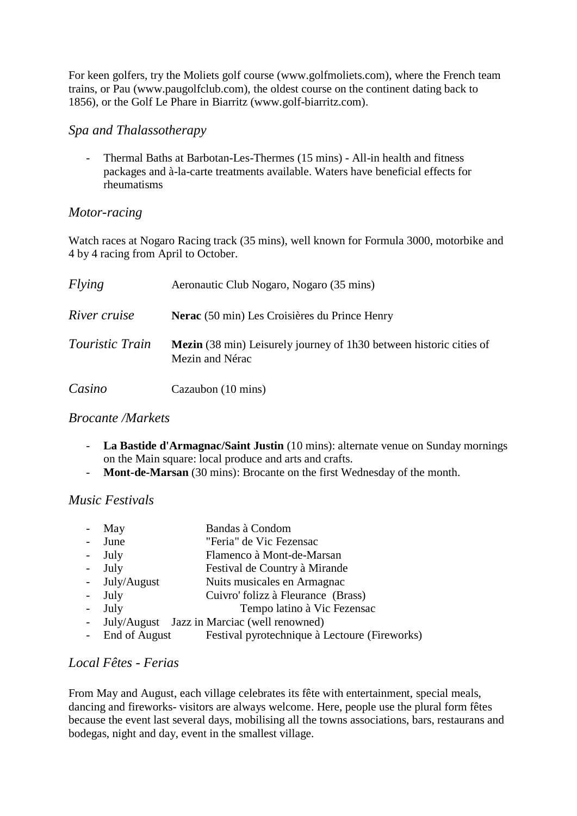For keen golfers, try the Moliets golf course (www.golfmoliets.com), where the French team trains, or Pau (www.paugolfclub.com), the oldest course on the continent dating back to 1856), or the Golf Le Phare in Biarritz (www.golf-biarritz.com).

### *Spa and Thalassotherapy*

- Thermal Baths at Barbotan-Les-Thermes (15 mins) - All-in health and fitness packages and à-la-carte treatments available. Waters have beneficial effects for rheumatisms

# *Motor-racing*

Watch races at Nogaro Racing track (35 mins), well known for Formula 3000, motorbike and 4 by 4 racing from April to October.

| Flying                 | Aeronautic Club Nogaro, Nogaro (35 mins)                                                      |
|------------------------|-----------------------------------------------------------------------------------------------|
| River cruise           | Nerac (50 min) Les Croisières du Prince Henry                                                 |
| <i>Touristic Train</i> | <b>Mezin</b> (38 min) Leisurely journey of 1h30 between historic cities of<br>Mezin and Nérac |
| Casino                 | Cazaubon (10 mins)                                                                            |

# *Brocante /Markets*

- La Bastide d'Armagnac/Saint Justin (10 mins): alternate venue on Sunday mornings on the Main square: local produce and arts and crafts.
- **Mont-de-Marsan** (30 mins): Brocante on the first Wednesday of the month.

# *Music Festivals*

| Bandas à Condom<br>May |  |
|------------------------|--|
|------------------------|--|

- June "Feria" de Vic Fezensac
- July Flamenco à Mont-de-Marsan
- July Festival de Country à Mirande
- July/August Nuits musicales en Armagnac
- July Cuivro' folizz à Fleurance (Brass)
- July Tempo latino à Vic Fezensac
- July/August Jazz in Marciac (well renowned)
- End of August Festival pyrotechnique à Lectoure (Fireworks)

# *Local Fêtes - Ferias*

From May and August, each village celebrates its fête with entertainment, special meals, dancing and fireworks- visitors are always welcome. Here, people use the plural form fêtes because the event last several days, mobilising all the towns associations, bars, restaurans and bodegas, night and day, event in the smallest village.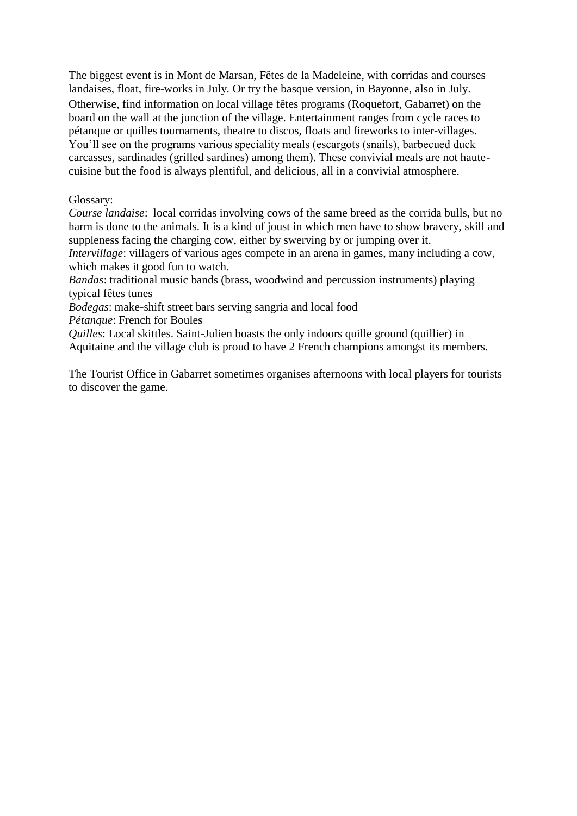The biggest event is in Mont de Marsan, Fêtes de la Madeleine, with corridas and courses landaises, float, fire-works in July. Or try the basque version, in Bayonne, also in July. Otherwise, find information on local village fêtes programs (Roquefort, Gabarret) on the board on the wall at the junction of the village. Entertainment ranges from cycle races to pétanque or quilles tournaments, theatre to discos, floats and fireworks to inter-villages. You'll see on the programs various speciality meals (escargots (snails), barbecued duck carcasses, sardinades (grilled sardines) among them). These convivial meals are not hautecuisine but the food is always plentiful, and delicious, all in a convivial atmosphere.

#### Glossary:

*Course landaise*: local corridas involving cows of the same breed as the corrida bulls, but no harm is done to the animals. It is a kind of joust in which men have to show bravery, skill and suppleness facing the charging cow, either by swerving by or jumping over it.

*Intervillage*: villagers of various ages compete in an arena in games, many including a cow, which makes it good fun to watch.

*Bandas*: traditional music bands (brass, woodwind and percussion instruments) playing typical fêtes tunes

*Bodegas*: make-shift street bars serving sangria and local food *Pétanque*: French for Boules

*Quilles*: Local skittles. Saint-Julien boasts the only indoors quille ground (quillier) in Aquitaine and the village club is proud to have 2 French champions amongst its members.

The Tourist Office in Gabarret sometimes organises afternoons with local players for tourists to discover the game.